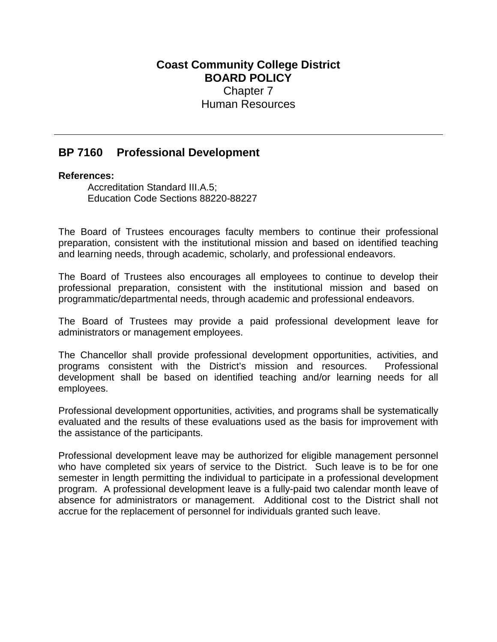## **Coast Community College District BOARD POLICY** Chapter 7 Human Resources

## **BP 7160 Professional Development**

## **References:**

Accreditation Standard III.A.5; Education Code Sections 88220-88227

The Board of Trustees encourages faculty members to continue their professional preparation, consistent with the institutional mission and based on identified teaching and learning needs, through academic, scholarly, and professional endeavors.

The Board of Trustees also encourages all employees to continue to develop their professional preparation, consistent with the institutional mission and based on programmatic/departmental needs, through academic and professional endeavors.

The Board of Trustees may provide a paid professional development leave for administrators or management employees.

The Chancellor shall provide professional development opportunities, activities, and programs consistent with the District's mission and resources. Professional development shall be based on identified teaching and/or learning needs for all employees.

Professional development opportunities, activities, and programs shall be systematically evaluated and the results of these evaluations used as the basis for improvement with the assistance of the participants.

Professional development leave may be authorized for eligible management personnel who have completed six years of service to the District. Such leave is to be for one semester in length permitting the individual to participate in a professional development program. A professional development leave is a fully-paid two calendar month leave of absence for administrators or management. Additional cost to the District shall not accrue for the replacement of personnel for individuals granted such leave.